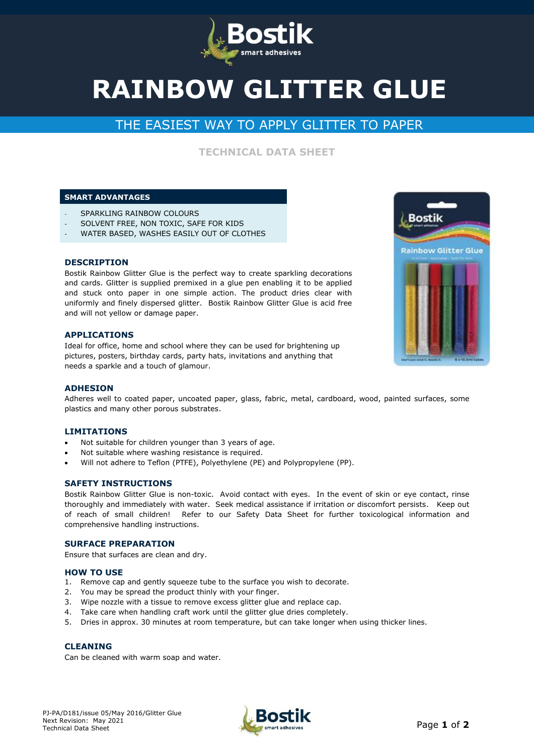

# **RAINBOW GLITTER GLUE**

# THE EASIEST WAY TO APPLY GLITTER TO PAPER

**TECHNICAL DATA SHEET**

# **SMART ADVANTAGES**

- SPARKLING RAINBOW COLOURS
- SOLVENT FREE, NON TOXIC, SAFE FOR KIDS
- WATER BASED, WASHES EASILY OUT OF CLOTHES

#### **DESCRIPTION**

Bostik Rainbow Glitter Glue is the perfect way to create sparkling decorations and cards. Glitter is supplied premixed in a glue pen enabling it to be applied and stuck onto paper in one simple action. The product dries clear with uniformly and finely dispersed glitter. Bostik Rainbow Glitter Glue is acid free and will not yellow or damage paper.

#### **APPLICATIONS**

Ideal for office, home and school where they can be used for brightening up pictures, posters, birthday cards, party hats, invitations and anything that needs a sparkle and a touch of glamour.



#### **ADHESION**

Adheres well to coated paper, uncoated paper, glass, fabric, metal, cardboard, wood, painted surfaces, some plastics and many other porous substrates.

#### **LIMITATIONS**

- Not suitable for children younger than 3 years of age.
- Not suitable where washing resistance is required.
- Will not adhere to Teflon (PTFE), Polyethylene (PE) and Polypropylene (PP).

#### **SAFETY INSTRUCTIONS**

Bostik Rainbow Glitter Glue is non-toxic. Avoid contact with eyes. In the event of skin or eye contact, rinse thoroughly and immediately with water. Seek medical assistance if irritation or discomfort persists. Keep out of reach of small children!Refer to our Safety Data Sheet for further toxicological information and comprehensive handling instructions.

# **SURFACE PREPARATION**

Ensure that surfaces are clean and dry.

#### **HOW TO USE**

- 1. Remove cap and gently squeeze tube to the surface you wish to decorate.
- 2. You may be spread the product thinly with your finger.
- 3. Wipe nozzle with a tissue to remove excess glitter glue and replace cap.
- 4. Take care when handling craft work until the glitter glue dries completely.
- 5. Dries in approx. 30 minutes at room temperature, but can take longer when using thicker lines.

#### **CLEANING**

Can be cleaned with warm soap and water.